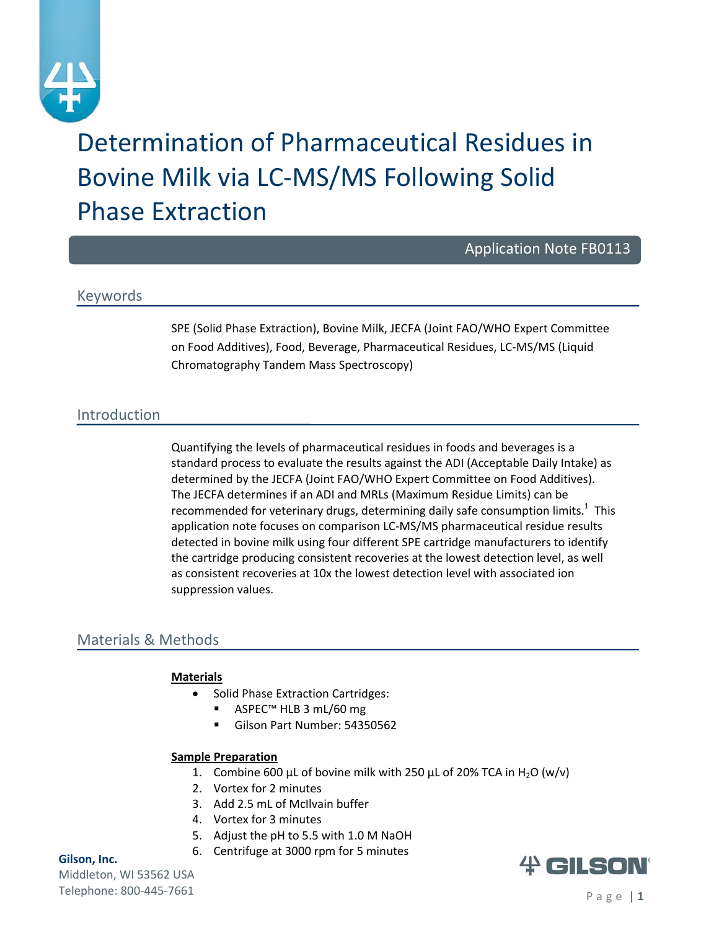

# Determination of Pharmaceutical Residues in Bovine Milk via LC‐MS/MS Following Solid Phase Extraction

Application Note FB0113

# Keywords

SPE (Solid Phase Extraction), Bovine Milk, JECFA (Joint FAO/WHO Expert Committee on Food Additives), Food, Beverage, Pharmaceutical Residues, LC‐MS/MS (Liquid Chromatography Tandem Mass Spectroscopy)

# Introduction

Quantifying the levels of pharmaceutical residues in foods and beverages is a standard process to evaluate the results against the ADI (Acceptable Daily Intake) as determined by the JECFA (Joint FAO/WHO Expert Committee on Food Additives). The JECFA determines if an ADI and MRLs (Maximum Residue Limits) can be recommended for veterinary drugs, determining daily safe consumption limits.<sup>1</sup> This application note focuses on comparison LC‐MS/MS pharmaceutical residue results detected in bovine milk using four different SPE cartridge manufacturers to identify the cartridge producing consistent recoveries at the lowest detection level, as well as consistent recoveries at 10x the lowest detection level with associated ion suppression values.

# Materials & Methods

#### **Materials**

- Solid Phase Extraction Cartridges:
	- ASPEC<sup>™</sup> HLB 3 mL/60 mg
	- Gilson Part Number: 54350562

#### **Sample Preparation**

- 1. Combine 600 µL of bovine milk with 250 µL of 20% TCA in H<sub>2</sub>O (w/v)
- 2. Vortex for 2 minutes
- 3. Add 2.5 mL of McIlvain buffer
- 4. Vortex for 3 minutes
- 5. Adjust the pH to 5.5 with 1.0 M NaOH
- 6. Centrifuge at 3000 rpm for 5 minutes

#### **Gilson, Inc.**

Middleton, WI 53562 USA Telephone: 800-445-7661 Page | 1

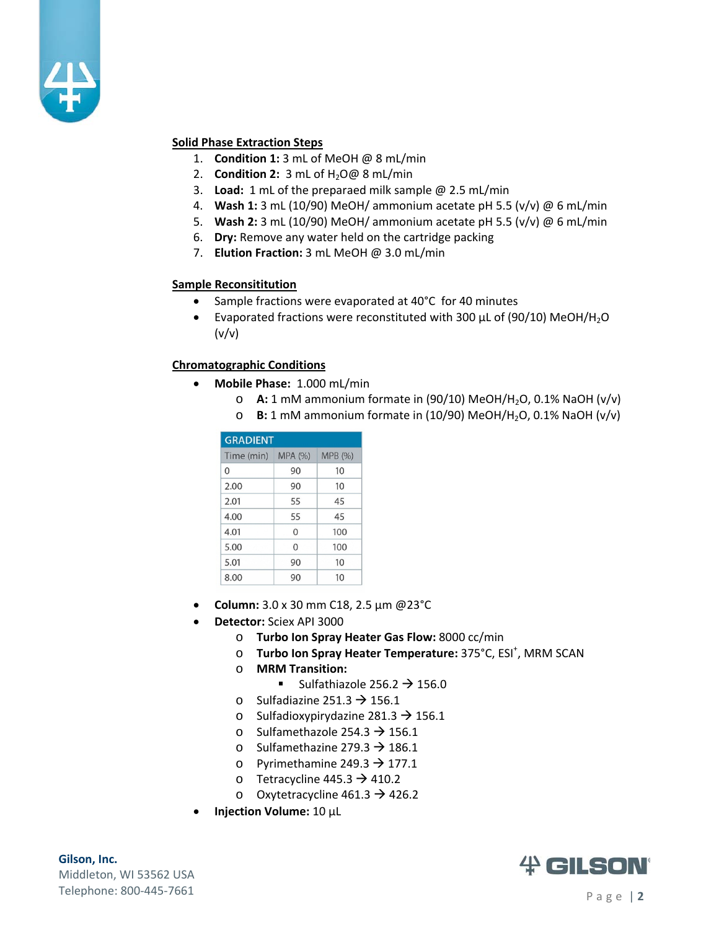

#### **Solid Phase Extraction Steps**

- 1. **Condition 1:** 3 mL of MeOH @ 8 mL/min
- **2. Condition 2:** 3 mL of H<sub>2</sub>O@ 8 mL/min
- 3. **Load:** 1 mL of the preparaed milk sample @ 2.5 mL/min
- 4. **Wash 1:** 3 mL (10/90) MeOH/ ammonium acetate pH 5.5 (v/v) @ 6 mL/min
- 5. **Wash 2:** 3 mL (10/90) MeOH/ ammonium acetate pH 5.5 (v/v) @ 6 mL/min
- 6. **Dry:** Remove any water held on the cartridge packing
- 7. **Elution Fraction:** 3 mL MeOH @ 3.0 mL/min

#### **Sample Reconsititution**

- Sample fractions were evaporated at 40°C for 40 minutes
- Evaporated fractions were reconstituted with 300 µL of (90/10) MeOH/H2O  $(v/v)$

#### **Chromatographic Conditions**

- **Mobile Phase:** 1.000 mL/min
	- o **A:** 1 mM ammonium formate in (90/10) MeOH/H2O, 0.1% NaOH (v/v)
	- o **B:** 1 mM ammonium formate in (10/90) MeOH/H2O, 0.1% NaOH (v/v)

| <b>GRADIENT</b> |                |         |  |  |  |  |
|-----------------|----------------|---------|--|--|--|--|
| Time (min)      | <b>MPA (%)</b> | MPB (%) |  |  |  |  |
| 0               | 90             | 10      |  |  |  |  |
| 2.00            | 90             | 10      |  |  |  |  |
| 2.01            | 55             | 45      |  |  |  |  |
| 4.00            | 55             | 45      |  |  |  |  |
| 4.01            | $\Omega$       | 100     |  |  |  |  |
| 5.00            | $\Omega$       | 100     |  |  |  |  |
| 5.01            | 90             | 10      |  |  |  |  |
| 8.00            | 90             | 10      |  |  |  |  |

- **Column:** 3.0 x 30 mm C18, 2.5 µm @23°C
- **Detector:** Sciex API 3000
	- o **Turbo Ion Spray Heater Gas Flow:** 8000 cc/min
	- o **Turbo Ion Spray Heater Temperature:** 375°C, ESI<sup>+</sup>, MRM SCAN
	- o **MRM Transition:**
		- Sulfathiazole 256.2  $\rightarrow$  156.0
	- o Sulfadiazine 251.3  $\rightarrow$  156.1
	- o Sulfadioxypirydazine 281.3  $\rightarrow$  156.1
	- o Sulfamethazole 254.3  $\rightarrow$  156.1
	- o Sulfamethazine 279.3  $\rightarrow$  186.1
	- o Pyrimethamine 249.3  $\rightarrow$  177.1
	- o Tetracycline 445.3  $\rightarrow$  410.2
	- o Oxytetracycline  $461.3 \rightarrow 426.2$
- **Injection Volume:** 10 µL

**Gilson, Inc.**  Middleton, WI 53562 USA Telephone: 800-445-7661 Page | 2

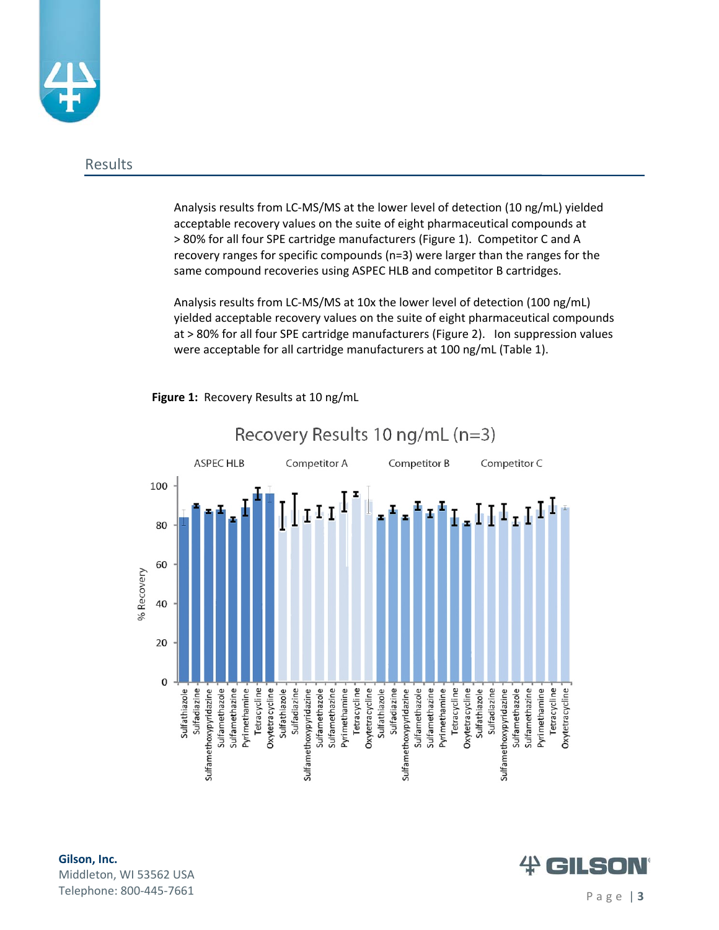

#### Results

Analysis results from LC‐MS/MS at the lower level of detection (10 ng/mL) yielded acceptable recovery values on the suite of eight pharmaceutical compounds at > 80% for all four SPE cartridge manufacturers (Figure 1). Competitor C and A recovery ranges for specific compounds (n=3) were larger than the ranges for the same compound recoveries using ASPEC HLB and competitor B cartridges.

 $\sim$  . The state is the state of  $\sim$ Analysis results from LC‐MS/MS at 10x the lower level of detection (100 ng/mL) yielded acceptable recovery values on the suite of eight pharmaceutical compounds at > 80% for all four SPE cartridge manufacturers (Figure 2). Ion suppression values were acceptable for all cartridge manufacturers at 100 ng/mL (Table 1).



**Figure 1:** Recovery Results at 10 ng/mL

# **Gilson, Inc.**  Middleton, WI 53562 USA Telephone: 800-445-7661 Page | **3**

# $#$  GILSOI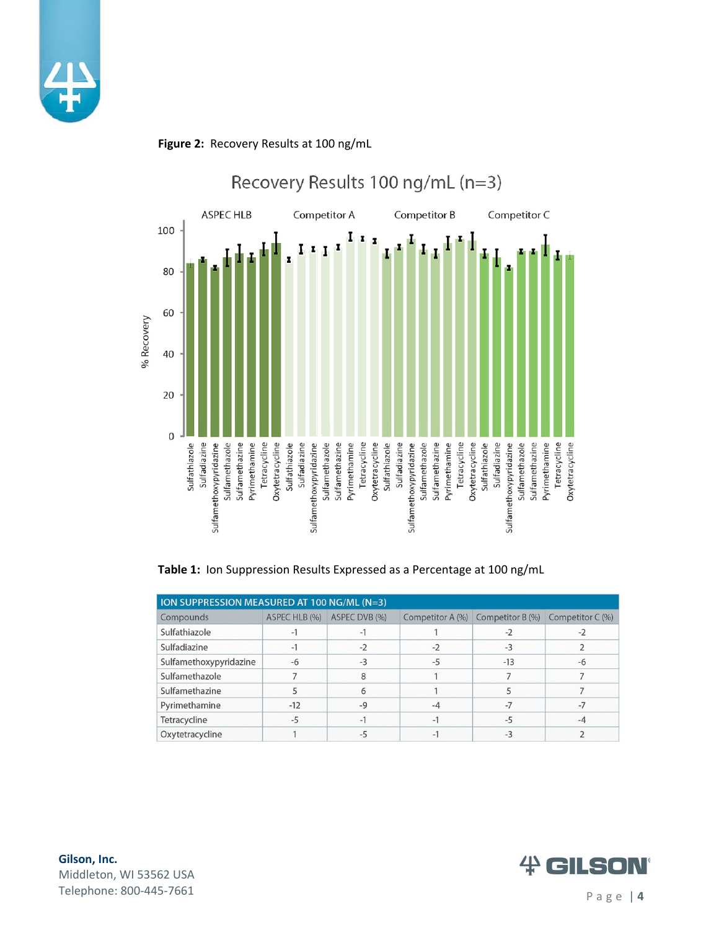



#### **Figure 2:** Recovery Results at <sup>100</sup> ng/mL

**Table 1:** Ion Suppression Results Expressed as a Percentage at 100 ng/mL

| ION SUPPRESSION MEASURED AT 100 NG/ML (N=3) |               |               |                  |                  |                  |  |  |
|---------------------------------------------|---------------|---------------|------------------|------------------|------------------|--|--|
| Compounds                                   | ASPEC HLB (%) | ASPEC DVB (%) | Competitor A (%) | Competitor B (%) | Competitor C (%) |  |  |
| Sulfathiazole                               | $-1$          | $-1$          |                  | $-2$             | $-2$             |  |  |
| Sulfadiazine                                | $-1$          | $-2$          | $-2$             | $-3$             |                  |  |  |
| Sulfamethoxypyridazine                      | -6            | $-3$          | -5               | $-13$            | -6               |  |  |
| Sulfamethazole                              |               | 8             |                  |                  |                  |  |  |
| Sulfamethazine                              |               | 6             |                  |                  |                  |  |  |
| Pyrimethamine                               | $-12$         | $-9$          | $-4$             | $-7$             | $-7$             |  |  |
| Tetracycline                                | $-5$          | $-1$          | $-1$             | $-5$             | -4               |  |  |
| Oxytetracycline                             |               | $-5$          | $-1$             | $-3$             |                  |  |  |